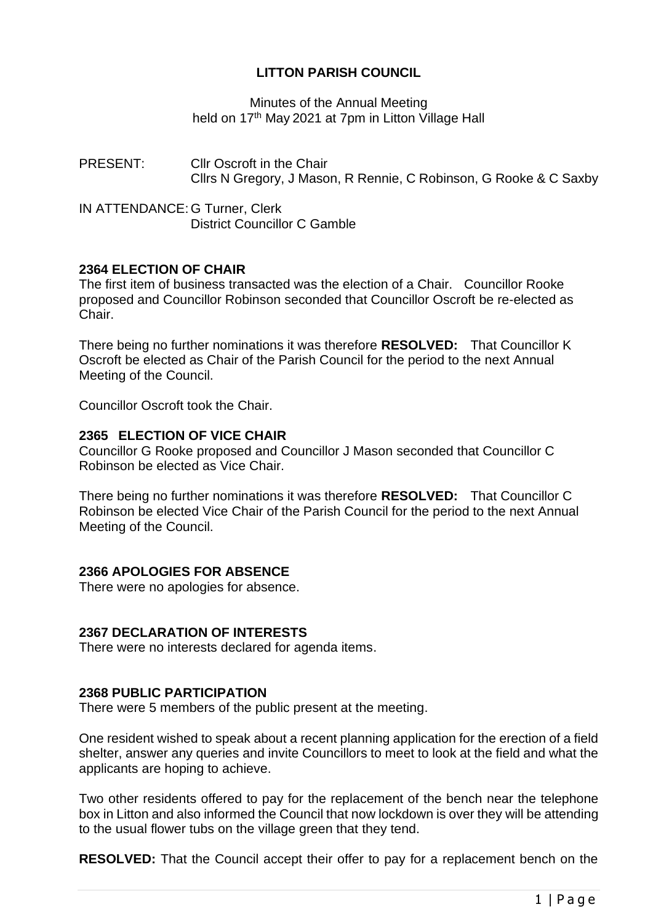# **LITTON PARISH COUNCIL**

Minutes of the Annual Meeting held on 17<sup>th</sup> May 2021 at 7pm in Litton Village Hall

PRESENT: Cllr Oscroft in the Chair Cllrs N Gregory, J Mason, R Rennie, C Robinson, G Rooke & C Saxby

IN ATTENDANCE: G Turner, Clerk District Councillor C Gamble

# **2364 ELECTION OF CHAIR**

The first item of business transacted was the election of a Chair. Councillor Rooke proposed and Councillor Robinson seconded that Councillor Oscroft be re-elected as Chair.

There being no further nominations it was therefore **RESOLVED:** That Councillor K Oscroft be elected as Chair of the Parish Council for the period to the next Annual Meeting of the Council.

Councillor Oscroft took the Chair.

#### **2365 ELECTION OF VICE CHAIR**

Councillor G Rooke proposed and Councillor J Mason seconded that Councillor C Robinson be elected as Vice Chair.

There being no further nominations it was therefore **RESOLVED:** That Councillor C Robinson be elected Vice Chair of the Parish Council for the period to the next Annual Meeting of the Council.

# **2366 APOLOGIES FOR ABSENCE**

There were no apologies for absence.

#### **2367 DECLARATION OF INTERESTS**

There were no interests declared for agenda items.

#### **2368 PUBLIC PARTICIPATION**

There were 5 members of the public present at the meeting.

One resident wished to speak about a recent planning application for the erection of a field shelter, answer any queries and invite Councillors to meet to look at the field and what the applicants are hoping to achieve.

Two other residents offered to pay for the replacement of the bench near the telephone box in Litton and also informed the Council that now lockdown is over they will be attending to the usual flower tubs on the village green that they tend.

**RESOLVED:** That the Council accept their offer to pay for a replacement bench on the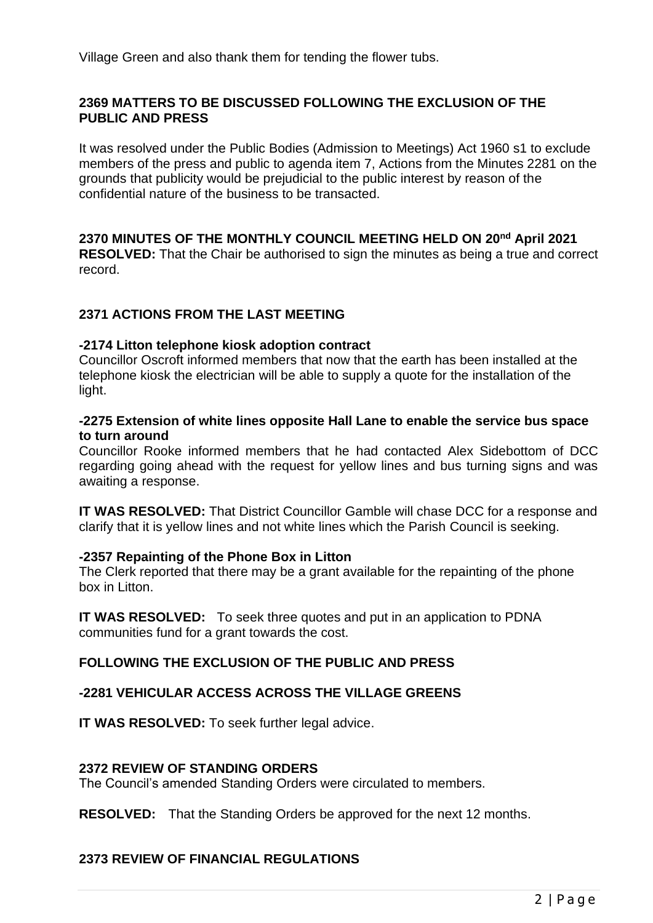Village Green and also thank them for tending the flower tubs.

# **2369 MATTERS TO BE DISCUSSED FOLLOWING THE EXCLUSION OF THE PUBLIC AND PRESS**

It was resolved under the Public Bodies (Admission to Meetings) Act 1960 s1 to exclude members of the press and public to agenda item 7, Actions from the Minutes 2281 on the grounds that publicity would be prejudicial to the public interest by reason of the confidential nature of the business to be transacted.

# **2370 MINUTES OF THE MONTHLY COUNCIL MEETING HELD ON 20nd April 2021**

**RESOLVED:** That the Chair be authorised to sign the minutes as being a true and correct record.

# **2371 ACTIONS FROM THE LAST MEETING**

### **-2174 Litton telephone kiosk adoption contract**

Councillor Oscroft informed members that now that the earth has been installed at the telephone kiosk the electrician will be able to supply a quote for the installation of the light.

### **-2275 Extension of white lines opposite Hall Lane to enable the service bus space to turn around**

Councillor Rooke informed members that he had contacted Alex Sidebottom of DCC regarding going ahead with the request for yellow lines and bus turning signs and was awaiting a response.

**IT WAS RESOLVED:** That District Councillor Gamble will chase DCC for a response and clarify that it is yellow lines and not white lines which the Parish Council is seeking.

#### **-2357 Repainting of the Phone Box in Litton**

The Clerk reported that there may be a grant available for the repainting of the phone box in Litton.

**IT WAS RESOLVED:** To seek three quotes and put in an application to PDNA communities fund for a grant towards the cost.

# **FOLLOWING THE EXCLUSION OF THE PUBLIC AND PRESS**

# **-2281 VEHICULAR ACCESS ACROSS THE VILLAGE GREENS**

**IT WAS RESOLVED:** To seek further legal advice.

#### **2372 REVIEW OF STANDING ORDERS**

The Council's amended Standing Orders were circulated to members.

**RESOLVED:** That the Standing Orders be approved for the next 12 months.

# **2373 REVIEW OF FINANCIAL REGULATIONS**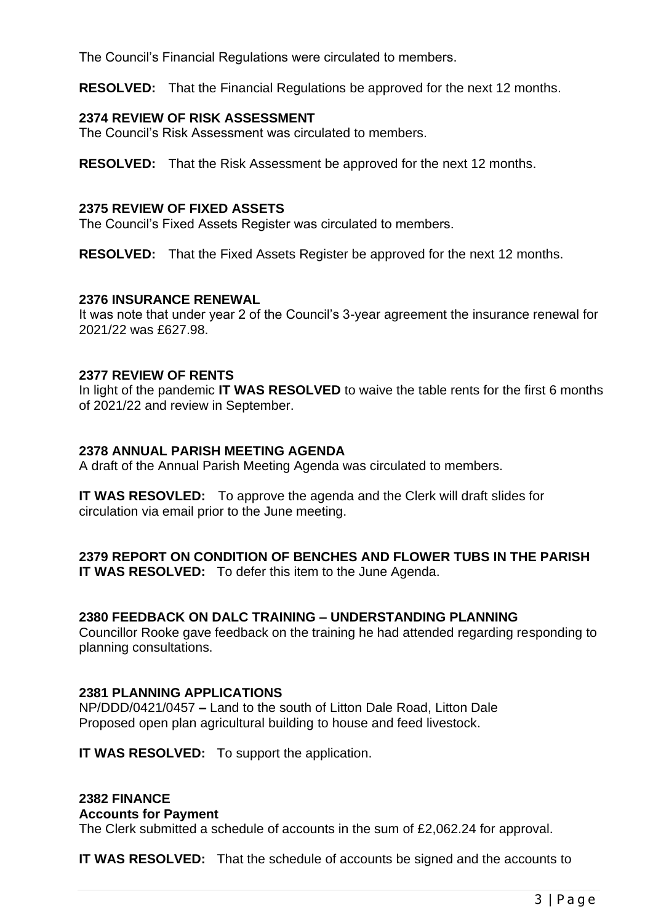The Council's Financial Regulations were circulated to members.

**RESOLVED:** That the Financial Regulations be approved for the next 12 months.

# **2374 REVIEW OF RISK ASSESSMENT**

The Council's Risk Assessment was circulated to members.

**RESOLVED:** That the Risk Assessment be approved for the next 12 months.

# **2375 REVIEW OF FIXED ASSETS**

The Council's Fixed Assets Register was circulated to members.

**RESOLVED:** That the Fixed Assets Register be approved for the next 12 months.

### **2376 INSURANCE RENEWAL**

It was note that under year 2 of the Council's 3-year agreement the insurance renewal for 2021/22 was £627.98.

### **2377 REVIEW OF RENTS**

In light of the pandemic **IT WAS RESOLVED** to waive the table rents for the first 6 months of 2021/22 and review in September.

# **2378 ANNUAL PARISH MEETING AGENDA**

A draft of the Annual Parish Meeting Agenda was circulated to members.

**IT WAS RESOVLED:** To approve the agenda and the Clerk will draft slides for circulation via email prior to the June meeting.

#### **2379 REPORT ON CONDITION OF BENCHES AND FLOWER TUBS IN THE PARISH IT WAS RESOLVED:** To defer this item to the June Agenda.

# **2380 FEEDBACK ON DALC TRAINING – UNDERSTANDING PLANNING**

Councillor Rooke gave feedback on the training he had attended regarding responding to planning consultations.

# **2381 PLANNING APPLICATIONS**

NP/DDD/0421/0457 **–** Land to the south of Litton Dale Road, Litton Dale Proposed open plan agricultural building to house and feed livestock.

**IT WAS RESOLVED:** To support the application.

#### **2382 FINANCE**

#### **Accounts for Payment**

The Clerk submitted a schedule of accounts in the sum of £2,062.24 for approval.

**IT WAS RESOLVED:** That the schedule of accounts be signed and the accounts to